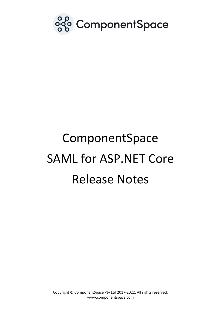

# ComponentSpace SAML for ASP.NET Core Release Notes

Copyright © ComponentSpace Pty Ltd 2017-2022. All rights reserved. www.componentspace.com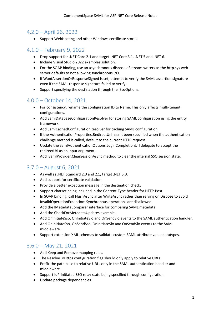#### 4.2.0 – April 26, 2022

• Support WebHosting and other Windows certificate stores.

# 4.1.0 – February 9, 2022

- Drop support for .NET Core 2.1 and target .NET Core 3.1, .NET 5 and .NET 6.
- Include Visual Studio 2022 examples solution.
- For the SOAP binding, use an asynchronous dispose of stream writers as the http.sys web server defaults to not allowing synchronous I/O.
- If WantAssertionOrResponseSigned is set, attempt to verify the SAML assertion signature even if the SAML response signature failed to verify.
- Support specifying the destination through the ISsoOptions.

# 4.0.0 – October 14, 2021

- For consistency, rename the configuration ID to Name. This only affects multi-tenant configurations.
- Add SamlDatabaseConfigurationResolver for storing SAML configuration using the entity framework.
- Add SamlCachedConfigurationResolver for caching SAML configuration.
- If the AuthenticationProperties.RedirectUri hasn't been specified when the authentication challenge method is called, default to the current HTTP request.
- Update the SamlAuthenticationOptions.LoginCompletionUrl delegate to accept the redirectUri as an input argument.
- Add ISamlProvider.ClearSessionAsync method to clear the internal SSO session state.

# 3.7.0 – August 6, 2021

- As well as .NET Standard 2.0 and 2.1, target .NET 5.0.
- Add support for certificate validation.
- Provide a better exception message in the destination check.
- Support charset being included in the Content-Type header for HTTP-Post.
- In SOAP binding, call FlushAsync after WriteAsync rather than relying on Dispose to avoid InvalidOperationException: Synchronous operations are disallowed.
- Add the IMetadataComparer interface for comparing SAML metadata.
- Add the CheckForMetadataUpdates example.
- Add OnInitiateSso, OnInitiateSlo and OnSendSlo events to the SAML authentication handler.
- Add OnInitiateSso, OnSendSso, OnInitiateSlo and OnSendSlo events to the SAML middleware.
- Support extension XML schemas to validate custom SAML attribute value datatypes.

# 3.6.0 – May 21, 2021

- Add Keep and Remove mapping rules.
- The ResolveToHttps configuration flag should only apply to relative URLs.
- Prefix the path base to relative URLs only in the SAML authentication handler and middleware.
- Support IdP-initiated SSO relay state being specified through configuration.
- Update package dependencies.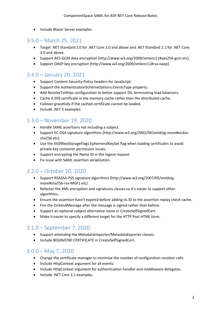• Include Blazor Server examples.

## 3.5.0 – March 25, 2021

- Target .NET Standard 2.0 for .NET Core 2.0 and above and .NET Standard 2.1 for .NET Core 3.0 and above.
- Support AES-GCM data encryption (http://www.w3.org/2009/xmlenc11#aes256-gcm etc).
- Support OAEP key encryption (http://www.w3.org/2009/xmlenc11#rsa-oaep).

# 3.4.0 – January 20, 2021

- Support Content-Security-Policy headers for JavaScript.
- Support the AuthenticationSchemeOptions.EventsType property.
- Add ResolveToHttps configuration to better support SSL terminating load balancers.
- Cache X.509 certificate in the memory cache rather than the distributed cache.
- Failover gracefully if the cached certificate cannot be loaded.
- Include .NET 5 examples.

## 3.3.0 – November 19, 2020

- Handle SAML assertions not including a subject.
- Support EC-DSA signature algorithms (http://www.w3.org/2001/04/xmldsig-more#ecdsasha256 etc).
- Use the X509KeyStorageFlags.EphemeralKeySet flag when loading certificates to avoid private key container permission issues.
- Support encrypting the Name ID in the logout request.
- Fix issue with SAML assertion serialization.

# 3.2.0 – October 20, 2020

- Support RSASSA-PSS signature algorithms (http://www.w3.org/2007/05/xmldsigmore#sha256-rsa-MGF1 etc).
- Refactor the XML encryption and signatures classes so it's easier to support other algorithms.
- Ensure the assertion hasn't expired before adding its ID to the assertion replay check cache.
- Fire the OnSendMessage after the message is signed rather than before.
- Support an optional subject alternative name in CreateSelfSignedCert.
- Make it easier to specify a different target for the HTTP Post HTML form.

# 3.1.0 – September 7, 2020

- Support extending the MetadataImporter/MetadataExporter classes.
- Include BEGIN/END CERTIFICATE in CreateSelfSignedCert.

#### 3.0.0 – May 7, 2020

- Change the certificate manager to minimize the number of configuration resolver calls.
- Include HttpContext argument for all events.
- Include HttpContext argument for authentication handler and middleware delegates.
- Include .NET Core 3.1 examples.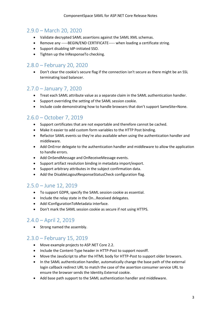#### 2.9.0 – March 20, 2020

- Validate decrypted SAML assertions against the SAML XML schemas.
- Remove any -----BEGIN/END CERTIFICATE----- when loading a certificate string.
- Support disabling IdP-initiated SSO.
- Tighten up the InResponseTo checking.

## 2.8.0 – February 20, 2020

• Don't clear the cookie's secure flag if the connection isn't secure as there might be an SSL terminating load balancer.

#### 2.7.0 – January 7, 2020

- Treat each SAML attribute value as a separate claim in the SAML authentication handler.
- Support overriding the setting of the SAML session cookie.
- Include code demonstrating how to handle browsers that don't support SameSite=None.

# 2.6.0 – October 7, 2019

- Support certificates that are not exportable and therefore cannot be cached.
- Make it easier to add custom form variables to the HTTP Post binding.
- Refactor SAML events so they're also available when using the authentication handler and middleware.
- Add OnError delegate to the authentication handler and middleware to allow the application to handle errors.
- Add OnSendMessage and OnReceiveMessage events.
- Support artifact resolution binding in metadata import/export.
- Support arbitrary attributes in the subject confirmation data.
- Add the DisableLogoutResponseStatusCheck configuration flag.

#### 2.5.0 – June 12, 2019

- To support GDPR, specify the SAML session cookie as essential.
- Include the relay state in the On…Received delegates.
- Add IConfigurationToMetadata interface.
- Don't mark the SAML session cookie as secure if not using HTTPS.

#### 2.4.0 – April 2, 2019

• Strong named the assembly.

# 2.3.0 – February 15, 2019

- Move example projects to ASP.NET Core 2.2.
- Include the Content-Type header in HTTP-Post to support nosniff.
- Move the JavaScript to after the HTML body for HTTP-Post to support older browsers.
- In the SAML authentication handler, automatically change the base path of the external login callback redirect URL to match the case of the assertion consumer service URL to ensure the browser sends the Identity.External cookie.
- Add base path support to the SAML authentication handler and middleware.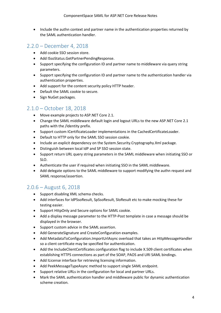• Include the authn context and partner name in the authentication properties returned by the SAML authentication handler.

# 2.2.0 – December 4, 2018

- Add cookie SSO session store.
- Add ISsoStatus.GetPartnerPendingResponse.
- Support specifying the configuration ID and partner name to middleware via query string parameters.
- Support specifying the configuration ID and partner name to the authentication handler via authentication properties.
- Add support for the content security policy HTTP header.
- Default the SAML cookie to secure.
- Sign NuGet packages.

## 2.1.0 – October 18, 2018

- Move example projects to ASP.NET Core 2.1.
- Change the SAML middleware default login and logout URLs to the new ASP.NET Core 2.1 paths with the /Identity prefix.
- Support custom ICertificateLoader implementations in the CachedCertificateLoader.
- Default to HTTP only for the SAML SSO session cookie.
- Include an explicit dependency on the System.Security.Cryptography.Xml package.
- Distinguish between local IdP and SP SSO session state.
- Support return URL query string parameters in the SAML middleware when initiating SSO or SLO.
- Authenticate the user if required when initiating SSO in the SAML middleware.
- Add delegate options to the SAML middleware to support modifying the authn request and SAML response/assertion.

# 2.0.6 – August 6, 2018

- Support disabling XML schema checks.
- Add interfaces for IdPSsoResult, SpSsoResult, SloResult etc to make mocking these for testing easier.
- Support HttpOnly and Secure options for SAML cookie.
- Add a display message parameter to the HTTP-Post template in case a message should be displayed in the browser.
- Support custom advice in the SAML assertion.
- Add GenerateSignature and CreateConfiguration examples.
- Add MetadataToConfiguration.ImportUrlAsync overload that takes an HttpMessageHandler so a client certificate may be specified for authentication.
- Add the IncludeClientCertificates configuration flag to include X.509 client certificates when establishing HTTPS connections as part of the SOAP, PAOS and URI SAML bindings.
- Add ILicense interface for retrieving licensing information.
- Add PeekMessageTypeAsync method to support single SAML endpoint.
- Support relative URLs in the configuration for local and partner URLs.
- Mark the SAML authentication handler and middleware public for dynamic authentication scheme creation.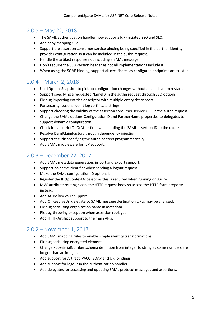## 2.0.5 – May 22, 2018

- The SAML authentication handler now supports IdP-initiated SSO and SLO.
- Add copy mapping rule.
- Support the assertion consumer service binding being specified in the partner identity provider configuration so it can be included in the authn request.
- Handle the artifact response not including a SAML message.
- Don't require the SOAPAction header as not all implementations include it.
- When using the SOAP binding, support all certificates as configured endpoints are trusted.

#### 2.0.4 – March 2, 2018

- Use IOptionsSnapshot to pick up configuration changes without an application restart.
- Support specifying a requested NameID in the authn request through SSO options.
- Fix bug importing entities descriptor with multiple entity descriptors.
- For security reasons, don't log certificate strings.
- Support checking the validity of the assertion consumer service URL in the authn request.
- Change the SAML options ConfigurationID and PartnerName properties to delegates to support dynamic configuration.
- Check for valid NotOnOrAfter time when adding the SAML assertion ID to the cache.
- Resolve ISamlClaimFactory through dependency injection.
- Support the IdP specifying the authn context programmatically.
- Add SAML middleware for IdP support.

## 2.0.3 – December 22, 2017

- Add SAML metadata generation, import and export support.
- Support no name identifier when sending a logout request.
- Make the SAML configuration ID optional.
- Register the IHttpContextAccessor as this is required when running on Azure.
- MVC attribute routing clears the HTTP request body so access the HTTP form property instead.
- Add Azure key vault support.
- Add OnResolveUrl delegate so SAML message destination URLs may be changed.
- Fix bug serializing organization name in metadata.
- Fix bug throwing exception when assertion replayed.
- Add HTTP-Artifact support to the main APIs.

# 2.0.2 – November 1, 2017

- Add SAML mapping rules to enable simple identity transformations.
- Fix bug serializing encrypted element.
- Change X509SerialNumber schema definition from integer to string as some numbers are longer than an integer.
- Add support for Artifact, PAOS, SOAP and URI bindings.
- Add support for logout in the authentication handler.
- Add delegates for accessing and updating SAML protocol messages and assertions.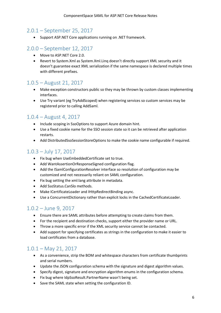## 2.0.1 – September 25, 2017

• Support ASP.NET Core applications running on .NET framework.

# 2.0.0 – September 12, 2017

- Move to ASP.NET Core 2.0.
- Revert to System.Xml as System.Xml.Linq doesn't directly support XML security and it doesn't guarantee exact XML serialization if the same namespace is declared multiple times with different prefixes.

# 1.0.5 – August 21, 2017

- Make exception constructors public so they may be thrown by custom classes implementing interfaces.
- Use Try variant (eg TryAddScoped) when registering services so custom services may be registered prior to calling AddSaml.

## 1.0.4 – August 4, 2017

- Include scoping in SsoOptions to support Azure domain hint.
- Use a fixed cookie name for the SSO session state so it can be retrieved after application restarts.
- Add DistributedSsoSessionStoreOptions to make the cookie name configurable if required.

## 1.0.3 – July 17, 2017

- Fix bug when UseEmbeddedCertificate set to true.
- Add WantAssertionOrResponseSigned configuration flag.
- Add the ISamlConfigurationResolver interface so resolution of configuration may be customized and not necessarily reliant on SAML configuration.
- Fix bug setting the xml:lang attribute in metadata.
- Add SsoStatus.CanSlo methods.
- Make ICertificateLoader and IHttpRedirectBinding async.
- Use a ConcurrentDictionary rather than explicit locks in the CachedCertificateLoader.

# 1.0.2 – June 9, 2017

- Ensure there are SAML attributes before attempting to create claims from them.
- For the recipient and destination checks, support either the provider name or URL.
- Throw a more specific error if the XML security service cannot be contacted.
- Add support for specifying certificates as strings in the configuration to make it easier to load certificates from a database.

# 1.0.1 – May 21, 2017

- As a convenience, strip the BOM and whitespace characters from certificate thumbprints and serial numbers.
- Update the JSON configuration schema with the signature and digest algorithm values.
- Specify digest, signature and encryption algorithm enums in the configuration schema.
- Fix bug where IdpSsoResult.PartnerName wasn't being set.
- Save the SAML state when setting the configuration ID.